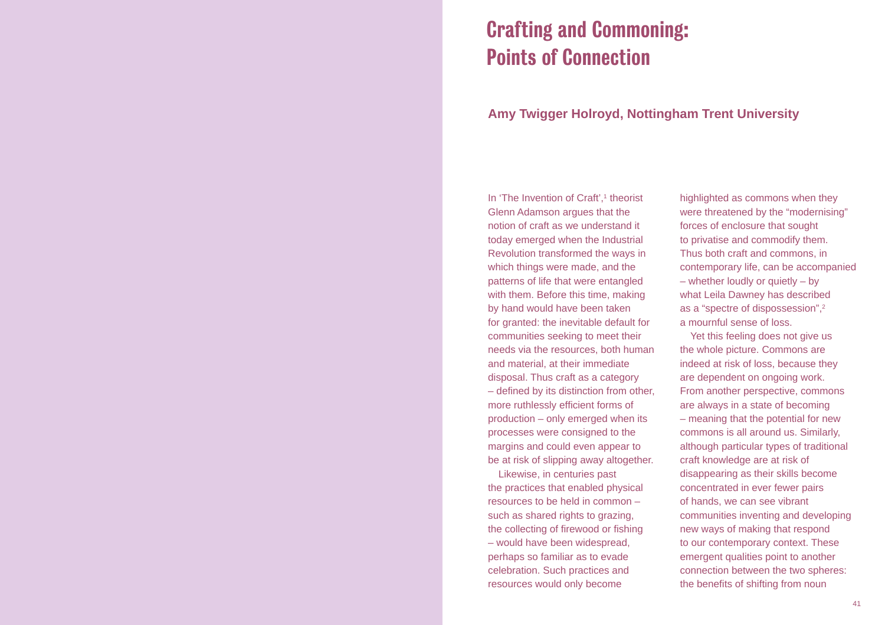## Crafting and Commoning: Points of Connection

## **Amy Twigger Holroyd, Nottingham Trent University**

In 'The Invention of Craft', $1$  theorist Glenn Adamson argues that the notion of craft as we understand it today emerged when the Industrial Revolution transformed the ways in which things were made, and the patterns of life that were entangled with them. Before this time, making by hand would have been taken for granted: the inevitable default for communities seeking to meet their needs via the resources, both human and material, at their immediate disposal. Thus craft as a category  $-$  defined by its distinction from other, more ruthlessly efficient forms of production – only emerged when its processes were consigned to the margins and could even appear to be at risk of slipping away altogether.

Likewise, in centuries past the practices that enabled physical resources to be held in common – such as shared rights to grazing, the collecting of firewood or fishing – would have been widespread, perhaps so familiar as to evade celebration. Such practices and resources would only become

highlighted as commons when they were threatened by the "modernising" forces of enclosure that sought to privatise and commodify them. Thus both craft and commons, in contemporary life, can be accompanied – whether loudly or quietly – by what Leila Dawney has described as a "spectre of dispossession",2 a mournful sense of loss.

Yet this feeling does not give us the whole picture. Commons are indeed at risk of loss, because they are dependent on ongoing work. From another perspective, commons are always in a state of becoming – meaning that the potential for new commons is all around us. Similarly, although particular types of traditional craft knowledge are at risk of disappearing as their skills become concentrated in ever fewer pairs of hands, we can see vibrant communities inventing and developing new ways of making that respond to our contemporary context. These emergent qualities point to another connection between the two spheres: the benefits of shifting from noun